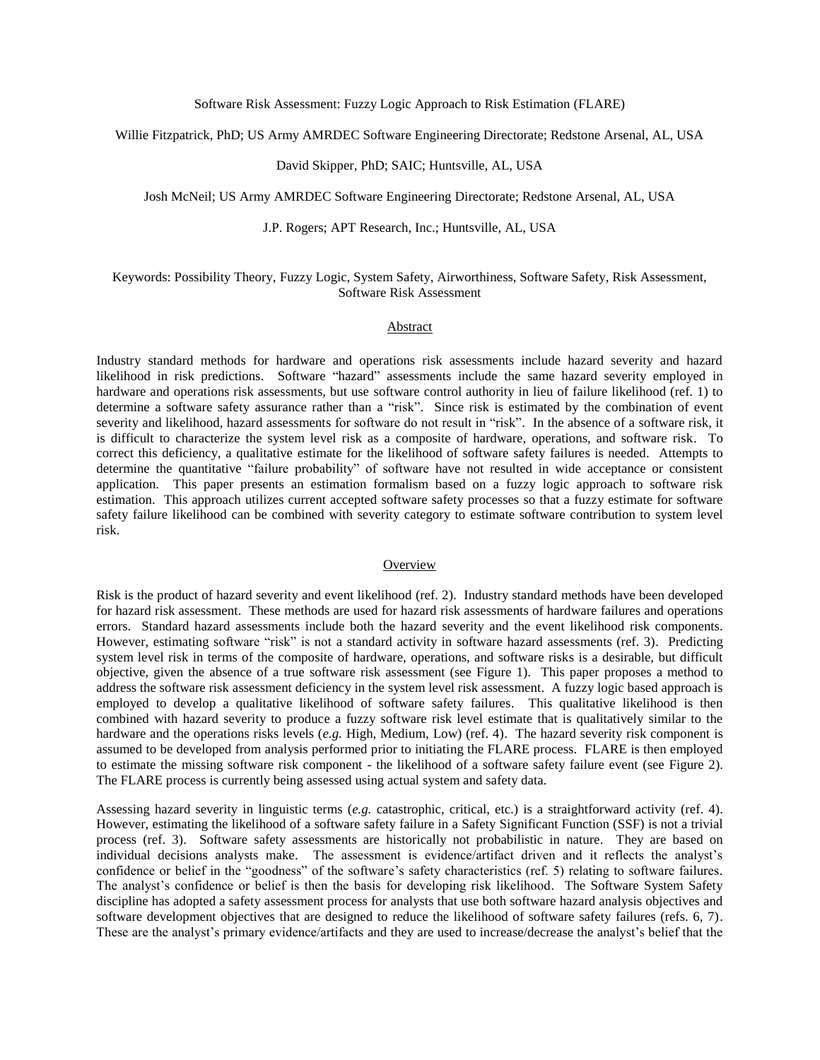Willie Fitzpatrick, PhD; US Army AMRDEC Software Engineering Directorate; Redstone Arsenal, AL, USA

## David Skipper, PhD; SAIC; Huntsville, AL, USA

Josh McNeil; US Army AMRDEC Software Engineering Directorate; Redstone Arsenal, AL, USA

### J.P. Rogers; APT Research, Inc.; Huntsville, AL, USA

## Keywords: Possibility Theory, Fuzzy Logic, System Safety, Airworthiness, Software Safety, Risk Assessment, Software Risk Assessment

## Abstract

Industry standard methods for hardware and operations risk assessments include hazard severity and hazard likelihood in risk predictions. Software "hazard" assessments include the same hazard severity employed in hardware and operations risk assessments, but use software control authority in lieu of failure likelihood (ref. 1) to determine a software safety assurance rather than a "risk". Since risk is estimated by the combination of event severity and likelihood, hazard assessments for software do not result in "risk". In the absence of a software risk, it is difficult to characterize the system level risk as a composite of hardware, operations, and software risk. To correct this deficiency, a qualitative estimate for the likelihood of software safety failures is needed. Attempts to determine the quantitative "failure probability" of software have not resulted in wide acceptance or consistent application. This paper presents an estimation formalism based on a fuzzy logic approach to software risk estimation. This approach utilizes current accepted software safety processes so that a fuzzy estimate for software safety failure likelihood can be combined with severity category to estimate software contribution to system level risk.

#### **Overview**

Risk is the product of hazard severity and event likelihood (ref. 2). Industry standard methods have been developed for hazard risk assessment. These methods are used for hazard risk assessments of hardware failures and operations errors. Standard hazard assessments include both the hazard severity and the event likelihood risk components. However, estimating software "risk" is not a standard activity in software hazard assessments (ref. 3). Predicting system level risk in terms of the composite of hardware, operations, and software risks is a desirable, but difficult objective, given the absence of a true software risk assessment (see Figure 1). This paper proposes a method to address the software risk assessment deficiency in the system level risk assessment. A fuzzy logic based approach is employed to develop a qualitative likelihood of software safety failures. This qualitative likelihood is then combined with hazard severity to produce a fuzzy software risk level estimate that is qualitatively similar to the hardware and the operations risks levels (*e.g.* High, Medium, Low) (ref. 4). The hazard severity risk component is assumed to be developed from analysis performed prior to initiating the FLARE process. FLARE is then employed to estimate the missing software risk component - the likelihood of a software safety failure event (see Figure 2). The FLARE process is currently being assessed using actual system and safety data.

Assessing hazard severity in linguistic terms (*e.g.* catastrophic, critical, etc.) is a straightforward activity (ref. 4). However, estimating the likelihood of a software safety failure in a Safety Significant Function (SSF) is not a trivial process (ref. 3). Software safety assessments are historically not probabilistic in nature. They are based on individual decisions analysts make. The assessment is evidence/artifact driven and it reflects the analyst's confidence or belief in the "goodness" of the software's safety characteristics (ref. 5) relating to software failures. The analyst's confidence or belief is then the basis for developing risk likelihood. The Software System Safety discipline has adopted a safety assessment process for analysts that use both software hazard analysis objectives and software development objectives that are designed to reduce the likelihood of software safety failures (refs. 6, 7). These are the analyst's primary evidence/artifacts and they are used to increase/decrease the analyst's belief that the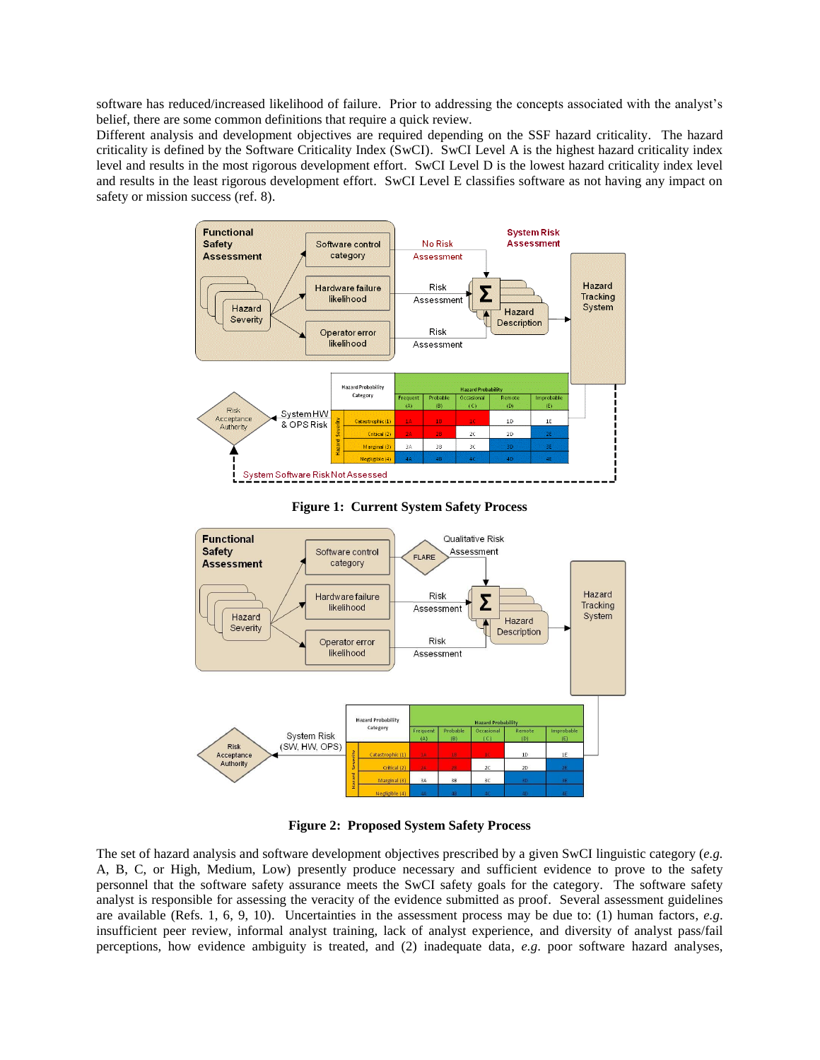software has reduced/increased likelihood of failure. Prior to addressing the concepts associated with the analyst's belief, there are some common definitions that require a quick review.

Different analysis and development objectives are required depending on the SSF hazard criticality. The hazard criticality is defined by the Software Criticality Index (SwCI). SwCI Level A is the highest hazard criticality index level and results in the most rigorous development effort. SwCI Level D is the lowest hazard criticality index level and results in the least rigorous development effort. SwCI Level E classifies software as not having any impact on safety or mission success (ref. 8).



**Figure 1: Current System Safety Process**



**Figure 2: Proposed System Safety Process**

The set of hazard analysis and software development objectives prescribed by a given SwCI linguistic category (*e.g.* A, B, C, or High, Medium, Low) presently produce necessary and sufficient evidence to prove to the safety personnel that the software safety assurance meets the SwCI safety goals for the category. The software safety analyst is responsible for assessing the veracity of the evidence submitted as proof. Several assessment guidelines are available (Refs. 1, 6, 9, 10). Uncertainties in the assessment process may be due to: (1) human factors, *e.g*. insufficient peer review, informal analyst training, lack of analyst experience, and diversity of analyst pass/fail perceptions, how evidence ambiguity is treated, and (2) inadequate data, *e.g*. poor software hazard analyses,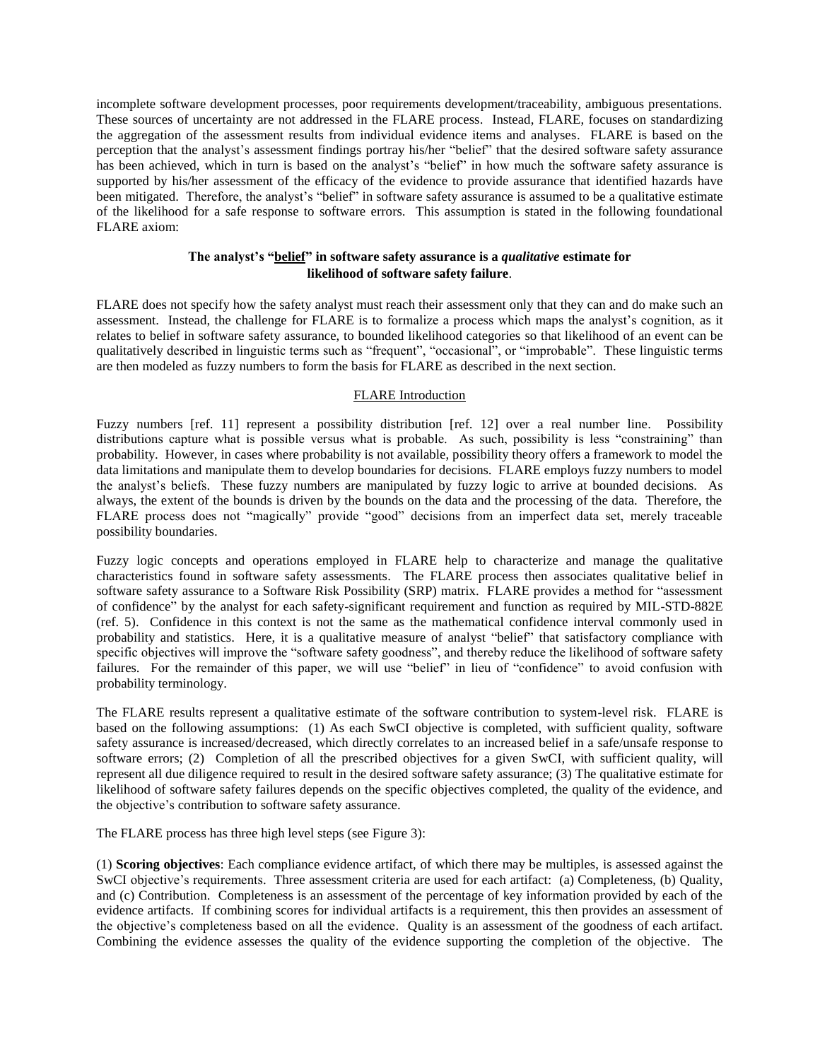incomplete software development processes, poor requirements development/traceability, ambiguous presentations. These sources of uncertainty are not addressed in the FLARE process. Instead, FLARE, focuses on standardizing the aggregation of the assessment results from individual evidence items and analyses. FLARE is based on the perception that the analyst's assessment findings portray his/her "belief" that the desired software safety assurance has been achieved, which in turn is based on the analyst's "belief" in how much the software safety assurance is supported by his/her assessment of the efficacy of the evidence to provide assurance that identified hazards have been mitigated. Therefore, the analyst's "belief" in software safety assurance is assumed to be a qualitative estimate of the likelihood for a safe response to software errors. This assumption is stated in the following foundational FLARE axiom:

# **The analyst's "belief" in software safety assurance is a** *qualitative* **estimate for likelihood of software safety failure**.

FLARE does not specify how the safety analyst must reach their assessment only that they can and do make such an assessment. Instead, the challenge for FLARE is to formalize a process which maps the analyst's cognition, as it relates to belief in software safety assurance, to bounded likelihood categories so that likelihood of an event can be qualitatively described in linguistic terms such as "frequent", "occasional", or "improbable". These linguistic terms are then modeled as fuzzy numbers to form the basis for FLARE as described in the next section.

## FLARE Introduction

Fuzzy numbers [ref. 11] represent a possibility distribution [ref. 12] over a real number line. Possibility distributions capture what is possible versus what is probable. As such, possibility is less "constraining" than probability. However, in cases where probability is not available, possibility theory offers a framework to model the data limitations and manipulate them to develop boundaries for decisions. FLARE employs fuzzy numbers to model the analyst's beliefs. These fuzzy numbers are manipulated by fuzzy logic to arrive at bounded decisions. As always, the extent of the bounds is driven by the bounds on the data and the processing of the data. Therefore, the FLARE process does not "magically" provide "good" decisions from an imperfect data set, merely traceable possibility boundaries.

Fuzzy logic concepts and operations employed in FLARE help to characterize and manage the qualitative characteristics found in software safety assessments. The FLARE process then associates qualitative belief in software safety assurance to a Software Risk Possibility (SRP) matrix. FLARE provides a method for "assessment of confidence" by the analyst for each safety-significant requirement and function as required by MIL-STD-882E (ref. 5). Confidence in this context is not the same as the mathematical confidence interval commonly used in probability and statistics. Here, it is a qualitative measure of analyst "belief" that satisfactory compliance with specific objectives will improve the "software safety goodness", and thereby reduce the likelihood of software safety failures. For the remainder of this paper, we will use "belief" in lieu of "confidence" to avoid confusion with probability terminology.

The FLARE results represent a qualitative estimate of the software contribution to system-level risk. FLARE is based on the following assumptions: (1) As each SwCI objective is completed, with sufficient quality, software safety assurance is increased/decreased, which directly correlates to an increased belief in a safe/unsafe response to software errors; (2) Completion of all the prescribed objectives for a given SwCI, with sufficient quality, will represent all due diligence required to result in the desired software safety assurance; (3) The qualitative estimate for likelihood of software safety failures depends on the specific objectives completed, the quality of the evidence, and the objective's contribution to software safety assurance.

The FLARE process has three high level steps (see Figure 3):

(1) **Scoring objectives**: Each compliance evidence artifact, of which there may be multiples, is assessed against the SwCI objective's requirements. Three assessment criteria are used for each artifact: (a) Completeness, (b) Quality, and (c) Contribution. Completeness is an assessment of the percentage of key information provided by each of the evidence artifacts. If combining scores for individual artifacts is a requirement, this then provides an assessment of the objective's completeness based on all the evidence. Quality is an assessment of the goodness of each artifact. Combining the evidence assesses the quality of the evidence supporting the completion of the objective. The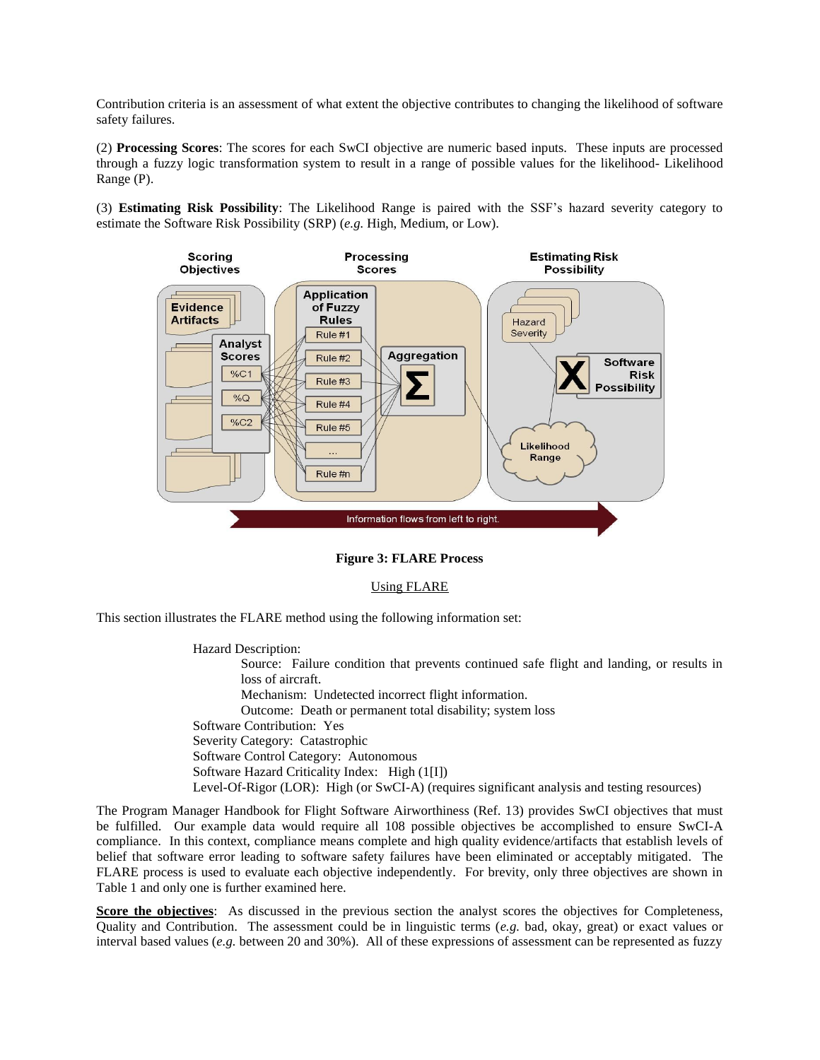Contribution criteria is an assessment of what extent the objective contributes to changing the likelihood of software safety failures.

(2) **Processing Scores**: The scores for each SwCI objective are numeric based inputs. These inputs are processed through a fuzzy logic transformation system to result in a range of possible values for the likelihood- Likelihood Range (P).

(3) **Estimating Risk Possibility**: The Likelihood Range is paired with the SSF's hazard severity category to estimate the Software Risk Possibility (SRP) (*e.g.* High, Medium, or Low).



## **Figure 3: FLARE Process**

## Using FLARE

This section illustrates the FLARE method using the following information set:

Hazard Description: Source: Failure condition that prevents continued safe flight and landing, or results in loss of aircraft. Mechanism: Undetected incorrect flight information. Outcome: Death or permanent total disability; system loss Software Contribution: Yes Severity Category: Catastrophic Software Control Category: Autonomous Software Hazard Criticality Index: High (1[I]) Level-Of-Rigor (LOR):High (or SwCI-A) (requires significant analysis and testing resources)

The Program Manager Handbook for Flight Software Airworthiness (Ref. 13) provides SwCI objectives that must be fulfilled. Our example data would require all 108 possible objectives be accomplished to ensure SwCI-A compliance. In this context, compliance means complete and high quality evidence/artifacts that establish levels of belief that software error leading to software safety failures have been eliminated or acceptably mitigated. The FLARE process is used to evaluate each objective independently. For brevity, only three objectives are shown in [Table 1](#page-4-0) and only one is further examined here.

**Score the objectives**: As discussed in the previous section the analyst scores the objectives for Completeness, Quality and Contribution. The assessment could be in linguistic terms (*e.g.* bad, okay, great) or exact values or interval based values (*e.g.* between 20 and 30%). All of these expressions of assessment can be represented as fuzzy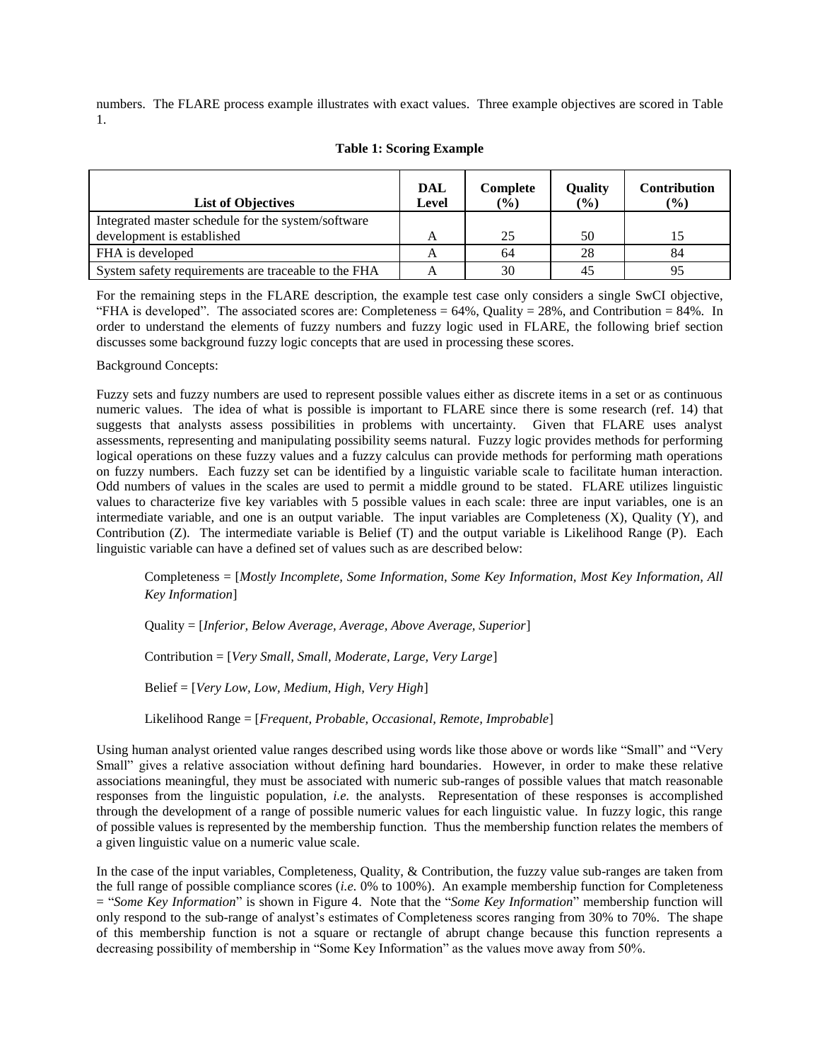numbers. The FLARE process example illustrates with exact values. Three example objectives are scored in Table 1.

<span id="page-4-0"></span>

| <b>List of Objectives</b>                                                        | DAL<br>Level | Complete<br>(%) | <b>Quality</b><br>(%) | <b>Contribution</b><br>(%) |
|----------------------------------------------------------------------------------|--------------|-----------------|-----------------------|----------------------------|
| Integrated master schedule for the system/software<br>development is established |              | 25              | 50                    | 15                         |
| FHA is developed                                                                 |              | 64              | 28                    | 84                         |
| System safety requirements are traceable to the FHA                              |              | 30              | 45                    | 95                         |

## **Table 1: Scoring Example**

For the remaining steps in the FLARE description, the example test case only considers a single SwCI objective, "FHA is developed". The associated scores are: Completeness =  $64\%$ , Quality = 28%, and Contribution = 84%. In order to understand the elements of fuzzy numbers and fuzzy logic used in FLARE, the following brief section discusses some background fuzzy logic concepts that are used in processing these scores.

## Background Concepts:

Fuzzy sets and fuzzy numbers are used to represent possible values either as discrete items in a set or as continuous numeric values. The idea of what is possible is important to FLARE since there is some research (ref. 14) that suggests that analysts assess possibilities in problems with uncertainty. Given that FLARE uses analyst assessments, representing and manipulating possibility seems natural. Fuzzy logic provides methods for performing logical operations on these fuzzy values and a fuzzy calculus can provide methods for performing math operations on fuzzy numbers. Each fuzzy set can be identified by a linguistic variable scale to facilitate human interaction. Odd numbers of values in the scales are used to permit a middle ground to be stated. FLARE utilizes linguistic values to characterize five key variables with 5 possible values in each scale: three are input variables, one is an intermediate variable, and one is an output variable. The input variables are Completeness (X), Quality (Y), and Contribution (Z). The intermediate variable is Belief (T) and the output variable is Likelihood Range (P). Each linguistic variable can have a defined set of values such as are described below:

Completeness = [*Mostly Incomplete, Some Information, Some Key Information, Most Key Information, All Key Information*]

Quality = [*Inferior, Below Average, Average, Above Average, Superior*]

Contribution = [*Very Small, Small, Moderate, Large, Very Large*]

Belief = [*Very Low, Low, Medium, High, Very High*]

Likelihood Range = [*Frequent, Probable, Occasional, Remote, Improbable*]

Using human analyst oriented value ranges described using words like those above or words like "Small" and "Very Small" gives a relative association without defining hard boundaries. However, in order to make these relative associations meaningful, they must be associated with numeric sub-ranges of possible values that match reasonable responses from the linguistic population, *i.e.* the analysts. Representation of these responses is accomplished through the development of a range of possible numeric values for each linguistic value. In fuzzy logic, this range of possible values is represented by the membership function. Thus the membership function relates the members of a given linguistic value on a numeric value scale.

In the case of the input variables, Completeness, Quality, & Contribution, the fuzzy value sub-ranges are taken from the full range of possible compliance scores (*i.e.* 0% to 100%). An example membership function for Completeness = "*Some Key Information*" is shown in Figure 4. Note that the "*Some Key Information*" membership function will only respond to the sub-range of analyst's estimates of Completeness scores ranging from 30% to 70%. The shape of this membership function is not a square or rectangle of abrupt change because this function represents a decreasing possibility of membership in "Some Key Information" as the values move away from 50%.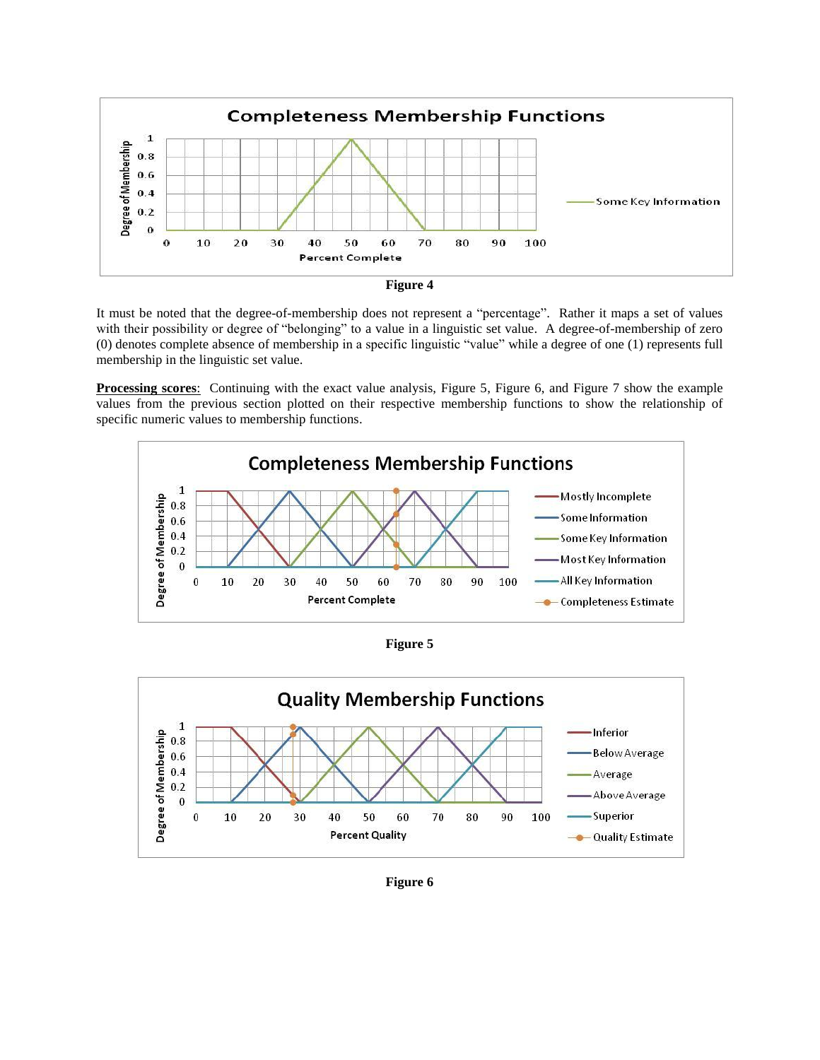



It must be noted that the degree-of-membership does not represent a "percentage". Rather it maps a set of values with their possibility or degree of "belonging" to a value in a linguistic set value. A degree-of-membership of zero (0) denotes complete absence of membership in a specific linguistic "value" while a degree of one (1) represents full membership in the linguistic set value.

**Processing scores**: Continuing with the exact value analysis, Figure 5, Figure 6, and Figure 7 show the example values from the previous section plotted on their respective membership functions to show the relationship of specific numeric values to membership functions.







**Figure 6**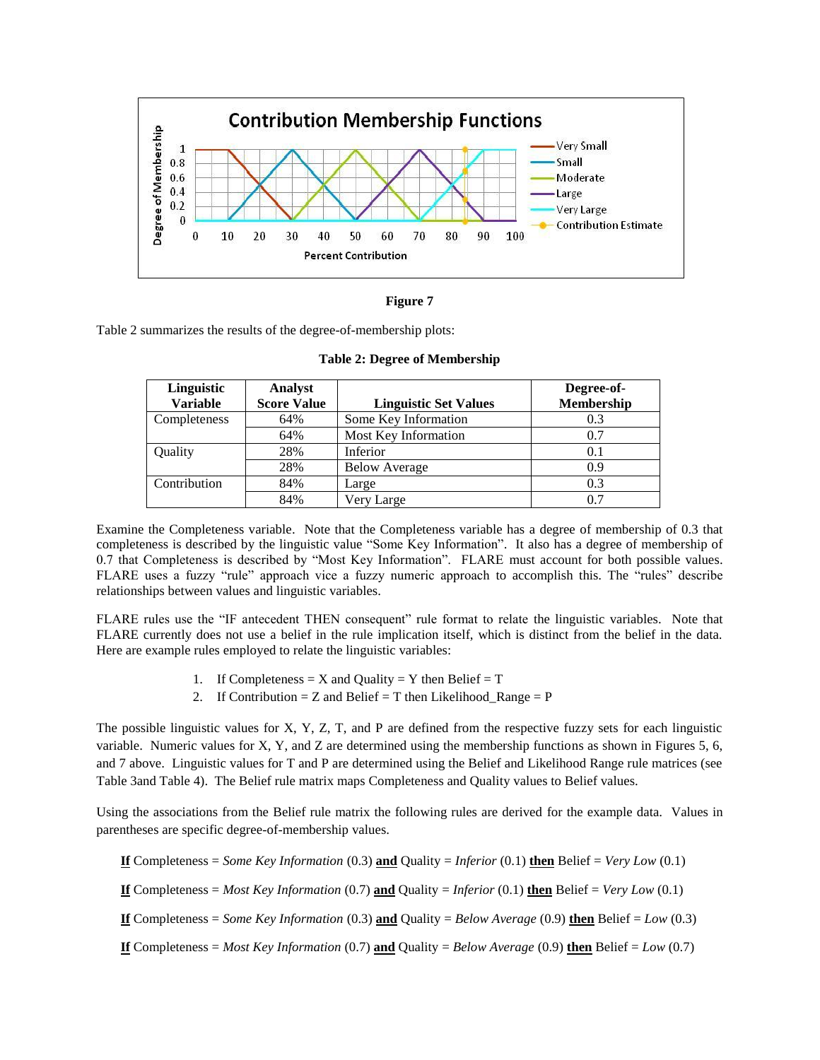

## **Figure 7**

Table 2 summarizes the results of the degree-of-membership plots:

| Linguistic      | <b>Analyst</b>     |                              | Degree-of- |
|-----------------|--------------------|------------------------------|------------|
| <b>Variable</b> | <b>Score Value</b> | <b>Linguistic Set Values</b> | Membership |
| Completeness    | 64%                | Some Key Information         | 0.3        |
|                 | 64%                | Most Key Information         | 0.7        |
| Quality         | 28%                | Inferior                     | 0.1        |
|                 | 28%                | <b>Below Average</b>         | 0.9        |
| Contribution    | 84%                | Large                        | 0.3        |
|                 | 84%                | Very Large                   | 0.7        |

**Table 2: Degree of Membership**

Examine the Completeness variable. Note that the Completeness variable has a degree of membership of 0.3 that completeness is described by the linguistic value "Some Key Information". It also has a degree of membership of 0.7 that Completeness is described by "Most Key Information". FLARE must account for both possible values. FLARE uses a fuzzy "rule" approach vice a fuzzy numeric approach to accomplish this. The "rules" describe relationships between values and linguistic variables.

FLARE rules use the "IF antecedent THEN consequent" rule format to relate the linguistic variables. Note that FLARE currently does not use a belief in the rule implication itself, which is distinct from the belief in the data. Here are example rules employed to relate the linguistic variables:

- 1. If Completeness = X and Quality = Y then Belief = T
- 2. If Contribution = Z and Belief = T then Likelihood\_Range =  $P$

The possible linguistic values for X, Y, Z, T, and P are defined from the respective fuzzy sets for each linguistic variable. Numeric values for X, Y, and Z are determined using the membership functions as shown in Figures 5, 6, and 7 above. Linguistic values for T and P are determined using the Belief and Likelihood Range rule matrices (see Table 3and Table 4). The Belief rule matrix maps Completeness and Quality values to Belief values.

Using the associations from the Belief rule matrix the following rules are derived for the example data. Values in parentheses are specific degree-of-membership values.

**If** Completeness = *Some Key Information* (0.3) **and** Quality = *Inferior* (0.1) **then** Belief = *Very Low* (0.1)

**If** Completeness = *Most Key Information* (0.7) **and** Quality = *Inferior* (0.1) **then** Belief = *Very Low* (0.1)

**If** Completeness = *Some Key Information* (0.3) **and** Quality = *Below Average* (0.9) **then** Belief = *Low* (0.3)

**If** Completeness = *Most Key Information* (0.7) **and** Quality = *Below Average* (0.9) **then** Belief = *Low* (0.7)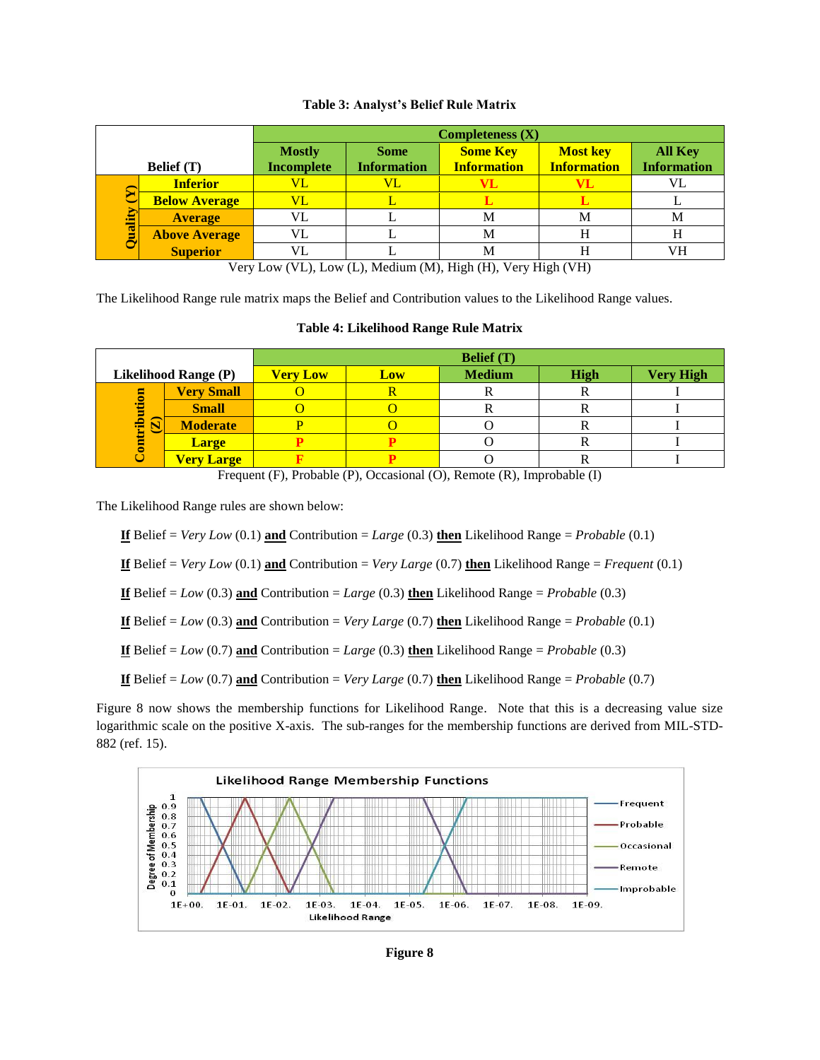|        |                      | Completeness (X)                   |                                   |                                       |                                       |                               |  |  |
|--------|----------------------|------------------------------------|-----------------------------------|---------------------------------------|---------------------------------------|-------------------------------|--|--|
|        | <b>Belief</b> (T)    | <b>Mostly</b><br><b>Incomplete</b> | <b>Some</b><br><b>Information</b> | <b>Some Key</b><br><b>Information</b> | <b>Most key</b><br><b>Information</b> | All Key<br><b>Information</b> |  |  |
|        | <b>Inferior</b>      | VL                                 | VL                                |                                       |                                       |                               |  |  |
|        | <b>Below Average</b> | VL                                 |                                   |                                       |                                       |                               |  |  |
| uality | <b>Average</b>       | VL                                 |                                   | М                                     | М                                     | M                             |  |  |
|        | <b>Above Average</b> | VL                                 |                                   | М                                     | Н                                     |                               |  |  |
|        | <b>Superior</b>      | VL                                 |                                   | M                                     | H                                     | VH                            |  |  |

# **Table 3: Analyst's Belief Rule Matrix**

Very Low (VL), Low (L), Medium (M), High (H), Very High (VH)

The Likelihood Range rule matrix maps the Belief and Contribution values to the Likelihood Range values.

# **Table 4: Likelihood Range Rule Matrix**

|                                     |                   |                 |     | <b>Belief</b> (T) |      |                  |
|-------------------------------------|-------------------|-----------------|-----|-------------------|------|------------------|
| <b>Likelihood Range (P)</b>         |                   | <b>Very Low</b> | Low | <b>Medium</b>     | High | <b>Very High</b> |
|                                     | <b>Very Small</b> |                 |     |                   |      |                  |
|                                     | <b>Small</b>      |                 |     |                   |      |                  |
| ribution<br>$\overline{\mathbf{S}}$ | <b>Moderate</b>   |                 |     |                   | v    |                  |
| Ē                                   | <b>Large</b>      |                 |     |                   |      |                  |
|                                     | <b>Very Large</b> |                 |     |                   |      |                  |

Frequent (F), Probable (P), Occasional (O), Remote (R), Improbable (I)

The Likelihood Range rules are shown below:

**<u>If**</u> Belief = *Very Low* (0.1) **and** Contribution = *Large* (0.3) **then** Likelihood Range = *Probable* (0.1)

**If** Belief = *Very Low* (0.1) **and** Contribution = *Very Large* (0.7) **then** Likelihood Range = *Frequent* (0.1)

**If** Belief = *Low* (0.3) **and** Contribution = *Large* (0.3) **then** Likelihood Range = *Probable* (0.3)

**If** Belief = *Low* (0.3) **and** Contribution = *Very Large* (0.7) **then** Likelihood Range = *Probable* (0.1)

**If** Belief = *Low* (0.7) **and** Contribution = *Large* (0.3) **then** Likelihood Range = *Probable* (0.3)

**If** Belief = *Low* (0.7) **and** Contribution = *Very Large* (0.7) **then** Likelihood Range = *Probable* (0.7)

Figure 8 now shows the membership functions for Likelihood Range. Note that this is a decreasing value size logarithmic scale on the positive X-axis. The sub-ranges for the membership functions are derived from MIL-STD-882 (ref. 15).

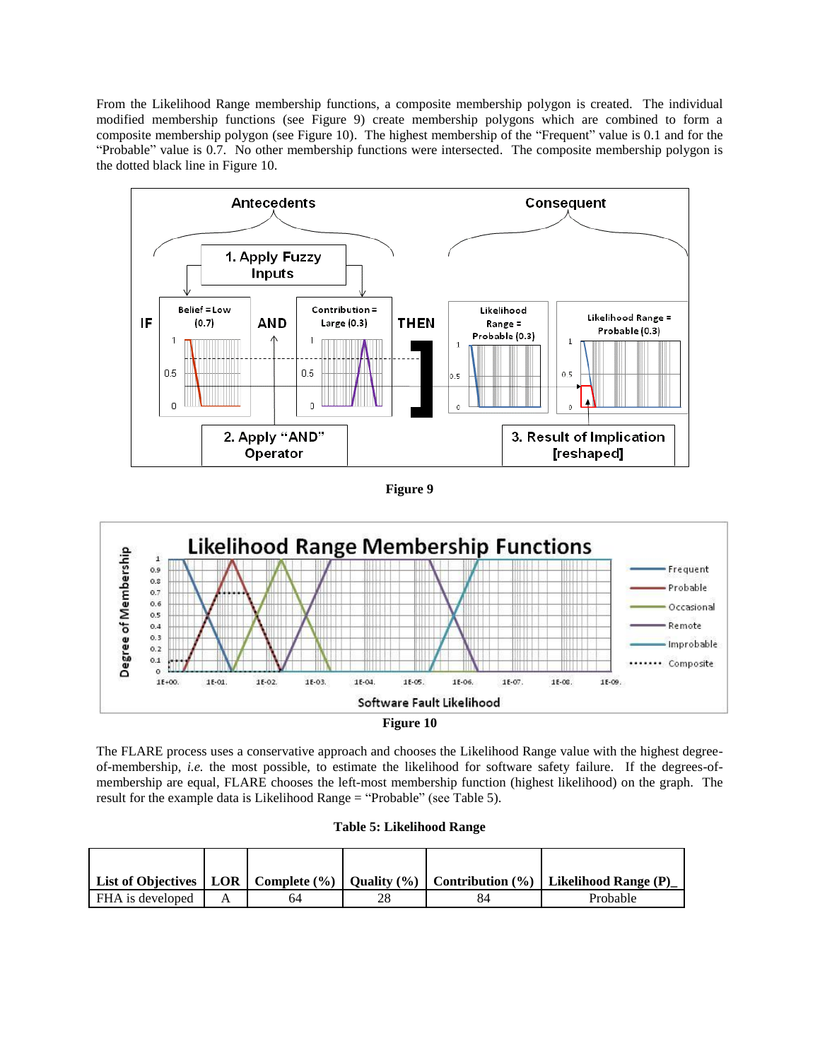From the Likelihood Range membership functions, a composite membership polygon is created. The individual modified membership functions (see Figure 9) create membership polygons which are combined to form a composite membership polygon (see Figure 10). The highest membership of the "Frequent" value is 0.1 and for the "Probable" value is 0.7. No other membership functions were intersected. The composite membership polygon is the dotted black line in Figure 10.



**Figure 9**



**Figure 10**

The FLARE process uses a conservative approach and chooses the Likelihood Range value with the highest degreeof-membership, *i.e.* the most possible, to estimate the likelihood for software safety failure. If the degrees-ofmembership are equal, FLARE chooses the left-most membership function (highest likelihood) on the graph. The result for the example data is Likelihood Range = "Probable" (see Table 5).

|                  |    |    | List of Objectives   LOR   Complete $\binom{9}{0}$   Quality $\binom{9}{0}$   Contribution $\binom{9}{0}$   Likelihood Range (P) |
|------------------|----|----|----------------------------------------------------------------------------------------------------------------------------------|
| FHA is developed | 64 | 84 | Probable                                                                                                                         |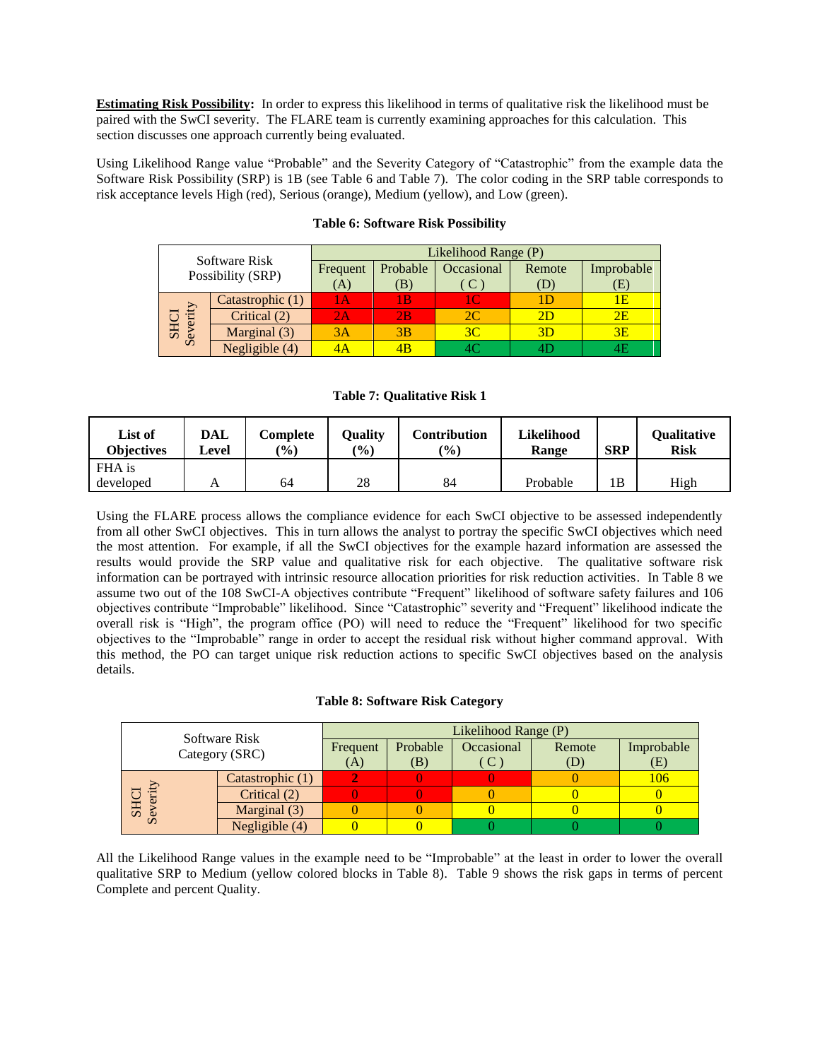**Estimating Risk Possibility:** In order to express this likelihood in terms of qualitative risk the likelihood must be paired with the SwCI severity. The FLARE team is currently examining approaches for this calculation. This section discusses one approach currently being evaluated.

Using Likelihood Range value "Probable" and the Severity Category of "Catastrophic" from the example data the Software Risk Possibility (SRP) is 1B (see Table 6 and Table 7). The color coding in the SRP table corresponds to risk acceptance levels High (red), Serious (orange), Medium (yellow), and Low (green).

|                 | Software Risk     |          |          | Likelihood Range (P) |        |            |
|-----------------|-------------------|----------|----------|----------------------|--------|------------|
|                 |                   | Frequent | Probable | Occasional           | Remote | Improbable |
|                 | Possibility (SRP) |          | (B)      | <sup>C</sup>         |        | Έ)         |
|                 | Catastrophic (1)  | l A      | l B      | 10.                  |        | 1Ε         |
| verity          | Critical (2)      | 2Α       | 2B       | 2C                   | 2D     | 2E         |
| <b>HS</b><br>Se | Marginal (3)      | 3A       | 3B       | 3C                   | 3D     | 3E         |
|                 | Negligible (4)    |          |          |                      |        |            |

# **Table 6: Software Risk Possibility**

## **Table 7: Qualitative Risk 1**

| List of<br><b>Objectives</b> | DAL<br>Level | Complete<br>$\frac{9}{0}$ | <b>Quality</b><br>$(\%)$ | <b>Contribution</b><br>$($ %) | Likelihood<br>Range | <b>SRP</b> | <b>Qualitative</b><br><b>Risk</b> |
|------------------------------|--------------|---------------------------|--------------------------|-------------------------------|---------------------|------------|-----------------------------------|
| FHA is                       |              |                           |                          |                               |                     |            |                                   |
| developed                    |              | 64                        | 28                       | 84                            | Probable            | 1B         | High                              |

Using the FLARE process allows the compliance evidence for each SwCI objective to be assessed independently from all other SwCI objectives. This in turn allows the analyst to portray the specific SwCI objectives which need the most attention. For example, if all the SwCI objectives for the example hazard information are assessed the results would provide the SRP value and qualitative risk for each objective. The qualitative software risk information can be portrayed with intrinsic resource allocation priorities for risk reduction activities. In [Table 8](#page-9-0) we assume two out of the 108 SwCI-A objectives contribute "Frequent" likelihood of software safety failures and 106 objectives contribute "Improbable" likelihood. Since "Catastrophic" severity and "Frequent" likelihood indicate the overall risk is "High", the program office (PO) will need to reduce the "Frequent" likelihood for two specific objectives to the "Improbable" range in order to accept the residual risk without higher command approval. With this method, the PO can target unique risk reduction actions to specific SwCI objectives based on the analysis details.

## **Table 8: Software Risk Category**

<span id="page-9-0"></span>

|                                 |  |                  |          | Likelihood Range (P) |            |        |            |  |  |
|---------------------------------|--|------------------|----------|----------------------|------------|--------|------------|--|--|
| Software Risk<br>Category (SRC) |  |                  | Frequent | Probable             | Occasional | Remote | Improbable |  |  |
|                                 |  |                  | (A)      | (B)                  | C          | (D)    | Œ)         |  |  |
|                                 |  | Catastrophic (1) |          |                      |            |        | 106        |  |  |
|                                 |  | Critical (2)     |          |                      |            |        |            |  |  |
| <b>SHC</b>                      |  | Marginal (3)     |          |                      |            |        |            |  |  |
| $\Omega$                        |  | Negligible (4)   |          |                      |            |        |            |  |  |

All the Likelihood Range values in the example need to be "Improbable" at the least in order to lower the overall qualitative SRP to Medium (yellow colored blocks in Table 8). Table 9 shows the risk gaps in terms of percent Complete and percent Quality.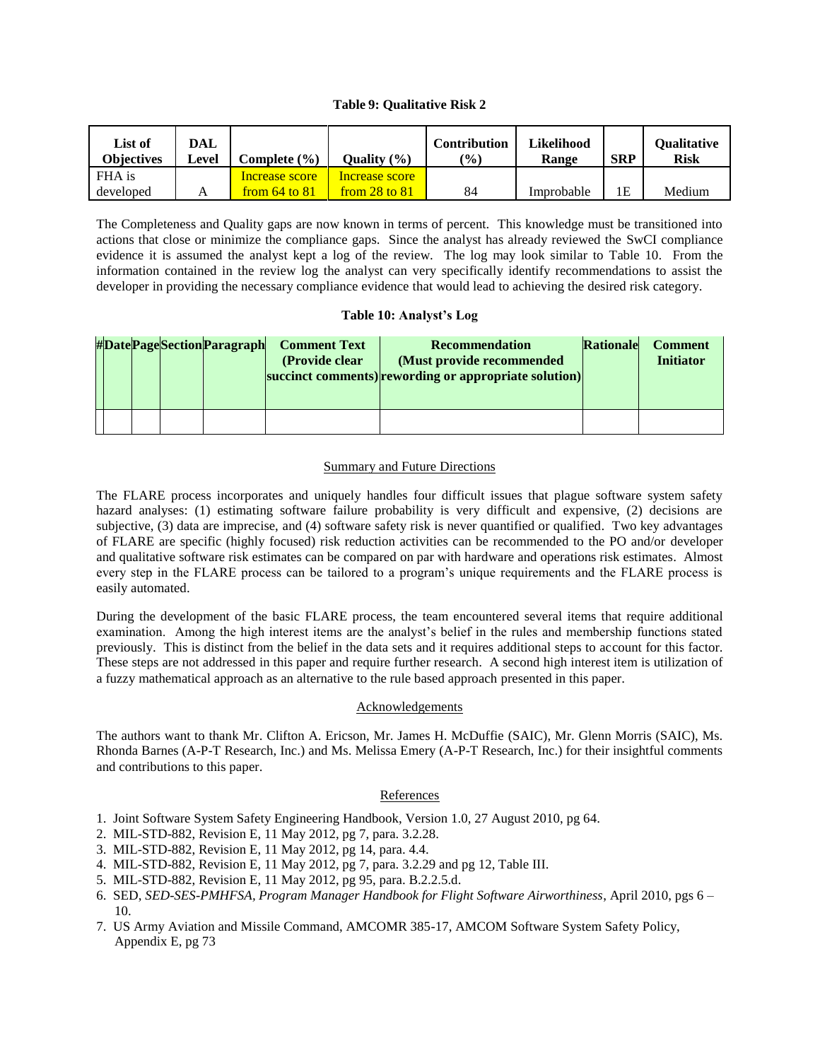### **Table 9: Qualitative Risk 2**

| List of<br><b>Obiectives</b> | DAL<br>Level | Complete (%)      | Ouality $(\frac{6}{6})$ | <b>Contribution</b><br>$\frac{10}{6}$ | <b>Likelihood</b><br>Range | <b>SRP</b> | <b>Oualitative</b><br>Risk |
|------------------------------|--------------|-------------------|-------------------------|---------------------------------------|----------------------------|------------|----------------------------|
| FHA is                       |              | Increase score    | Increase score          |                                       |                            |            |                            |
| developed                    |              | from $64$ to $81$ | from 28 to 81           | 84                                    | Improbable                 | 1Ε         | Medium                     |

The Completeness and Quality gaps are now known in terms of percent. This knowledge must be transitioned into actions that close or minimize the compliance gaps. Since the analyst has already reviewed the SwCI compliance evidence it is assumed the analyst kept a log of the review. The log may look similar to Table 10. From the information contained in the review log the analyst can very specifically identify recommendations to assist the developer in providing the necessary compliance evidence that would lead to achieving the desired risk category.

### **Table 10: Analyst's Log**

|  |  | #DatePageSectionParagraph | <b>Comment Text</b><br>(Provide clear) | Recommendation<br>(Must provide recommended)<br>succinct comments) rewording or appropriate solution) | Rationale | <b>Comment</b><br><b>Initiator</b> |
|--|--|---------------------------|----------------------------------------|-------------------------------------------------------------------------------------------------------|-----------|------------------------------------|
|  |  |                           |                                        |                                                                                                       |           |                                    |

### Summary and Future Directions

The FLARE process incorporates and uniquely handles four difficult issues that plague software system safety hazard analyses: (1) estimating software failure probability is very difficult and expensive, (2) decisions are subjective, (3) data are imprecise, and (4) software safety risk is never quantified or qualified. Two key advantages of FLARE are specific (highly focused) risk reduction activities can be recommended to the PO and/or developer and qualitative software risk estimates can be compared on par with hardware and operations risk estimates. Almost every step in the FLARE process can be tailored to a program's unique requirements and the FLARE process is easily automated.

During the development of the basic FLARE process, the team encountered several items that require additional examination. Among the high interest items are the analyst's belief in the rules and membership functions stated previously. This is distinct from the belief in the data sets and it requires additional steps to account for this factor. These steps are not addressed in this paper and require further research. A second high interest item is utilization of a fuzzy mathematical approach as an alternative to the rule based approach presented in this paper.

### Acknowledgements

The authors want to thank Mr. Clifton A. Ericson, Mr. James H. McDuffie (SAIC), Mr. Glenn Morris (SAIC), Ms. Rhonda Barnes (A-P-T Research, Inc.) and Ms. Melissa Emery (A-P-T Research, Inc.) for their insightful comments and contributions to this paper.

### References

- 1. Joint Software System Safety Engineering Handbook, Version 1.0, 27 August 2010, pg 64.
- 2. MIL-STD-882, Revision E, 11 May 2012, pg 7, para. 3.2.28.
- 3. MIL-STD-882, Revision E, 11 May 2012, pg 14, para. 4.4.
- 4. MIL-STD-882, Revision E, 11 May 2012, pg 7, para. 3.2.29 and pg 12, Table III.
- 5. MIL-STD-882, Revision E, 11 May 2012, pg 95, para. B.2.2.5.d.
- 6. SED, *SED-SES-PMHFSA, Program Manager Handbook for Flight Software Airworthiness*, April 2010, pgs 6 10.
- 7. US Army Aviation and Missile Command, AMCOMR 385-17, AMCOM Software System Safety Policy, Appendix E, pg 73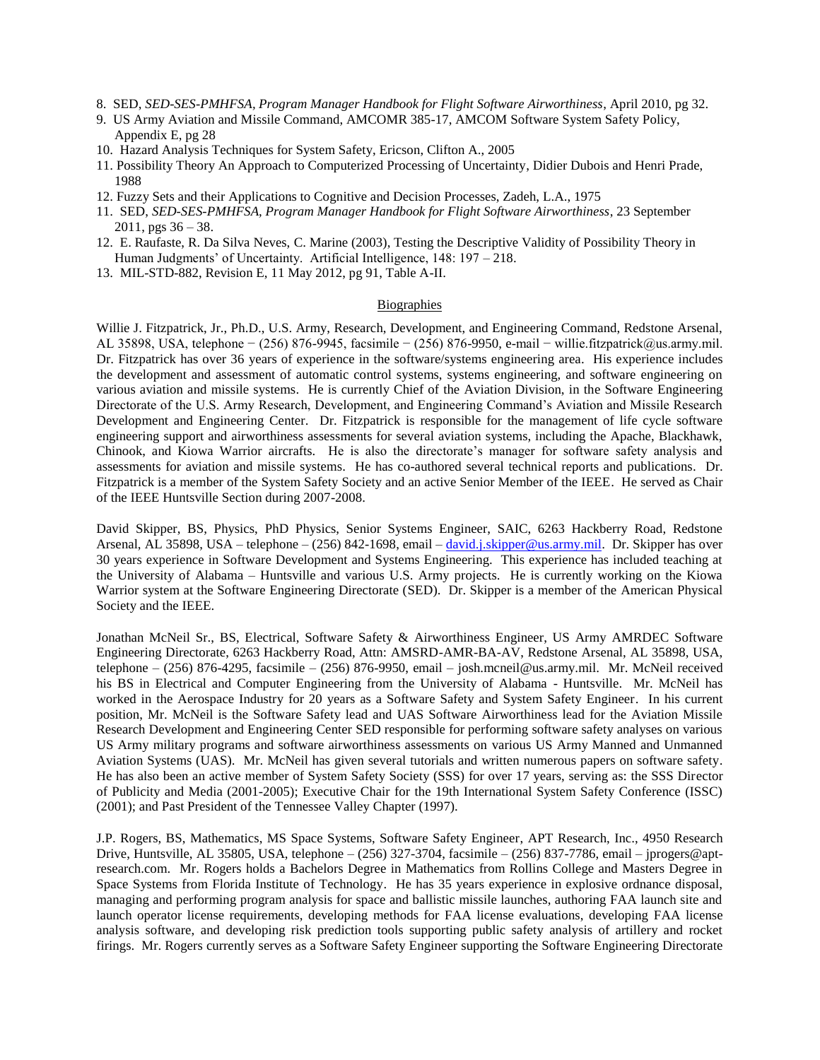- 8. SED, *SED-SES-PMHFSA, Program Manager Handbook for Flight Software Airworthiness*, April 2010, pg 32.
- 9. US Army Aviation and Missile Command, AMCOMR 385-17, AMCOM Software System Safety Policy, Appendix E, pg 28
- 10. Hazard Analysis Techniques for System Safety, Ericson, Clifton A., 2005
- 11. Possibility Theory An Approach to Computerized Processing of Uncertainty, Didier Dubois and Henri Prade, 1988
- 12. Fuzzy Sets and their Applications to Cognitive and Decision Processes, Zadeh, L.A., 1975
- 11. SED, *SED-SES-PMHFSA, Program Manager Handbook for Flight Software Airworthiness*, 23 September 2011, pgs 36 – 38.
- 12. E. Raufaste, R. Da Silva Neves, C. Marine (2003), Testing the Descriptive Validity of Possibility Theory in Human Judgments' of Uncertainty. Artificial Intelligence, 148: 197 – 218.
- 13. MIL-STD-882, Revision E, 11 May 2012, pg 91, Table A-II.

# Biographies

Willie J. Fitzpatrick, Jr., Ph.D., U.S. Army, Research, Development, and Engineering Command, Redstone Arsenal, AL 35898, USA, telephone − (256) 876-9945, facsimile − (256) 876-9950, e-mail − willie.fitzpatrick@us.army.mil. Dr. Fitzpatrick has over 36 years of experience in the software/systems engineering area. His experience includes the development and assessment of automatic control systems, systems engineering, and software engineering on various aviation and missile systems. He is currently Chief of the Aviation Division, in the Software Engineering Directorate of the U.S. Army Research, Development, and Engineering Command's Aviation and Missile Research Development and Engineering Center. Dr. Fitzpatrick is responsible for the management of life cycle software engineering support and airworthiness assessments for several aviation systems, including the Apache, Blackhawk, Chinook, and Kiowa Warrior aircrafts. He is also the directorate's manager for software safety analysis and assessments for aviation and missile systems. He has co-authored several technical reports and publications. Dr. Fitzpatrick is a member of the System Safety Society and an active Senior Member of the IEEE. He served as Chair of the IEEE Huntsville Section during 2007-2008.

David Skipper, BS, Physics, PhD Physics, Senior Systems Engineer, SAIC, 6263 Hackberry Road, Redstone Arsenal, AL 35898, USA – telephone – (256) 842-1698, email – [david.j.skipper@us.army.mil.](mailto:david.j.skipper@us.army.mil) Dr. Skipper has over 30 years experience in Software Development and Systems Engineering. This experience has included teaching at the University of Alabama – Huntsville and various U.S. Army projects. He is currently working on the Kiowa Warrior system at the Software Engineering Directorate (SED). Dr. Skipper is a member of the American Physical Society and the IEEE.

Jonathan McNeil Sr., BS, Electrical, Software Safety & Airworthiness Engineer, US Army AMRDEC Software Engineering Directorate, 6263 Hackberry Road, Attn: AMSRD-AMR-BA-AV, Redstone Arsenal, AL 35898, USA, telephone – (256) 876-4295, facsimile – (256) 876-9950, email – josh.mcneil@us.army.mil. Mr. McNeil received his BS in Electrical and Computer Engineering from the University of Alabama - Huntsville. Mr. McNeil has worked in the Aerospace Industry for 20 years as a Software Safety and System Safety Engineer. In his current position, Mr. McNeil is the Software Safety lead and UAS Software Airworthiness lead for the Aviation Missile Research Development and Engineering Center SED responsible for performing software safety analyses on various US Army military programs and software airworthiness assessments on various US Army Manned and Unmanned Aviation Systems (UAS). Mr. McNeil has given several tutorials and written numerous papers on software safety. He has also been an active member of System Safety Society (SSS) for over 17 years, serving as: the SSS Director of Publicity and Media (2001-2005); Executive Chair for the 19th International System Safety Conference (ISSC) (2001); and Past President of the Tennessee Valley Chapter (1997).

J.P. Rogers, BS, Mathematics, MS Space Systems, Software Safety Engineer, APT Research, Inc., 4950 Research Drive, Huntsville, AL 35805, USA, telephone – (256) 327-3704, facsimile – (256) 837-7786, email – jprogers@aptresearch.com. Mr. Rogers holds a Bachelors Degree in Mathematics from Rollins College and Masters Degree in Space Systems from Florida Institute of Technology. He has 35 years experience in explosive ordnance disposal, managing and performing program analysis for space and ballistic missile launches, authoring FAA launch site and launch operator license requirements, developing methods for FAA license evaluations, developing FAA license analysis software, and developing risk prediction tools supporting public safety analysis of artillery and rocket firings. Mr. Rogers currently serves as a Software Safety Engineer supporting the Software Engineering Directorate